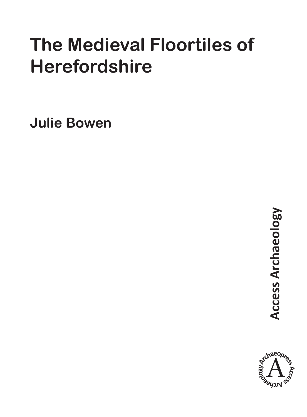## **The Medieval Floortiles of Herefordshire**

**Julie Bowen**

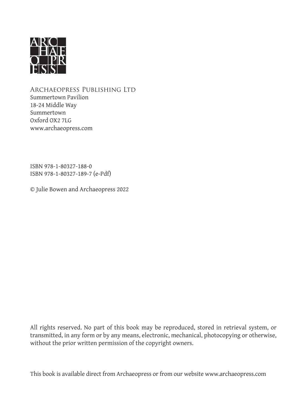

Archaeopress Publishing Ltd Summertown Pavilion 18-24 Middle Way Summertown Oxford OX2 7LG www.archaeopress.com

ISBN 978-1-80327-188-0 ISBN 978-1-80327-189-7 (e-Pdf)

© Julie Bowen and Archaeopress 2022

All rights reserved. No part of this book may be reproduced, stored in retrieval system, or transmitted, in any form or by any means, electronic, mechanical, photocopying or otherwise, without the prior written permission of the copyright owners.

This book is available direct from Archaeopress or from our website www.archaeopress.com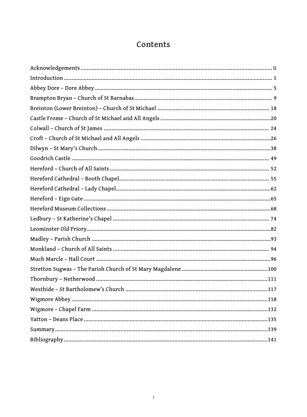## Contents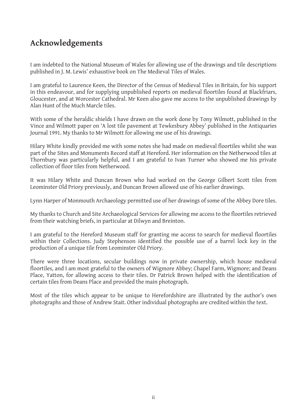## **Acknowledgements**

I am indebted to the National Museum of Wales for allowing use of the drawings and tile descriptions published in J. M. Lewis' exhaustive book on The Medieval Tiles of Wales.

I am grateful to Laurence Keen, the Director of the Census of Medieval Tiles in Britain, for his support in this endeavour, and for supplying unpublished reports on medieval floortiles found at Blackfriars, Gloucester, and at Worcester Cathedral. Mr Keen also gave me access to the unpublished drawings by Alan Hunt of the Much Marcle tiles.

With some of the heraldic shields I have drawn on the work done by Tony Wilmott, published in the Vince and Wilmott paper on 'A lost tile pavement at Tewkesbury Abbey' published in the Antiquaries Journal 1991. My thanks to Mr Wilmott for allowing me use of his drawings.

Hilary White kindly provided me with some notes she had made on medieval floortiles whilst she was part of the Sites and Monuments Record staff at Hereford. Her information on the Netherwood tiles at Thornbury was particularly helpful, and I am grateful to Ivan Turner who showed me his private collection of floor tiles from Netherwood.

It was Hilary White and Duncan Brown who had worked on the George Gilbert Scott tiles from Leominster Old Priory previously, and Duncan Brown allowed use of his earlier drawings.

Lynn Harper of Monmouth Archaeology permitted use of her drawings of some of the Abbey Dore tiles.

My thanks to Church and Site Archaeological Services for allowing me access to the floortiles retrieved from their watching briefs, in particular at Dilwyn and Breinton.

I am grateful to the Hereford Museum staff for granting me access to search for medieval floortiles within their Collections. Judy Stephenson identified the possible use of a barrel lock key in the production of a unique tile from Leominster Old Priory.

There were three locations, secular buildings now in private ownership, which house medieval floortiles, and I am most grateful to the owners of Wigmore Abbey; Chapel Farm, Wigmore; and Deans Place, Yatton, for allowing access to their tiles. Dr Patrick Brown helped with the identification of certain tiles from Deans Place and provided the main photograph.

Most of the tiles which appear to be unique to Herefordshire are illustrated by the author's own photographs and those of Andrew Stait. Other individual photographs are credited within the text.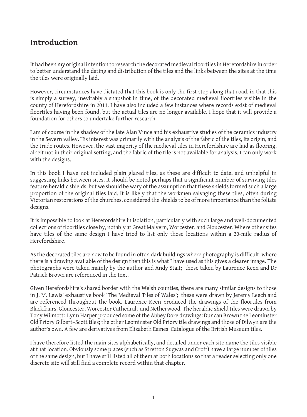## **Introduction**

It had been my original intention to research the decorated medieval floortiles in Herefordshire in order to better understand the dating and distribution of the tiles and the links between the sites at the time the tiles were originally laid.

However, circumstances have dictated that this book is only the first step along that road, in that this is simply a survey, inevitably a snapshot in time, of the decorated medieval floortiles visible in the county of Herefordshire in 2013. I have also included a few instances where records exist of medieval floortiles having been found, but the actual tiles are no longer available. I hope that it will provide a foundation for others to undertake further research.

I am of course in the shadow of the late Alan Vince and his exhaustive studies of the ceramics industry in the Severn valley. His interest was primarily with the analysis of the fabric of the tiles, its origin, and the trade routes. However, the vast majority of the medieval tiles in Herefordshire are laid as flooring, albeit not in their original setting, and the fabric of the tile is not available for analysis. I can only work with the designs.

In this book I have not included plain glazed tiles, as these are difficult to date, and unhelpful in suggesting links between sites. It should be noted perhaps that a significant number of surviving tiles feature heraldic shields, but we should be wary of the assumption that these shields formed such a large proportion of the original tiles laid. It is likely that the workmen salvaging these tiles, often during Victorian restorations of the churches, considered the shields to be of more importance than the foliate designs.

It is impossible to look at Herefordshire in isolation, particularly with such large and well-documented collections of floortiles close by, notably at Great Malvern, Worcester, and Gloucester. Where other sites have tiles of the same design I have tried to list only those locations within a 20-mile radius of Herefordshire.

As the decorated tiles are now to be found in often dark buildings where photography is difficult, where there is a drawing available of the design then this is what I have used as this gives a clearer image. The photographs were taken mainly by the author and Andy Stait; those taken by Laurence Keen and Dr Patrick Brown are referenced in the text.

Given Herefordshire's shared border with the Welsh counties, there are many similar designs to those in J. M. Lewis' exhaustive book 'The Medieval Tiles of Wales'; these were drawn by Jeremy Leech and are referenced throughout the book. Laurence Keen produced the drawings of the floortiles from Blackfriars, Gloucester; Worcester Cathedral; and Netherwood. The heraldic shield tiles were drawn by Tony Wilmott: Lynn Harper produced some of the Abbey Dore drawings: Duncan Brown the Leominster Old Priory Gilbert–Scott tiles; the other Leominster Old Priory tile drawings and those of Dilwyn are the author's own. A few are derivatives from Elizabeth Eames' Catalogue of the British Museum tiles.

I have therefore listed the main sites alphabetically, and detailed under each site name the tiles visible at that location. Obviously some places (such as Stretton Sugwas and Croft) have a large number of tiles of the same design, but I have still listed all of them at both locations so that a reader selecting only one discrete site will still find a complete record within that chapter.